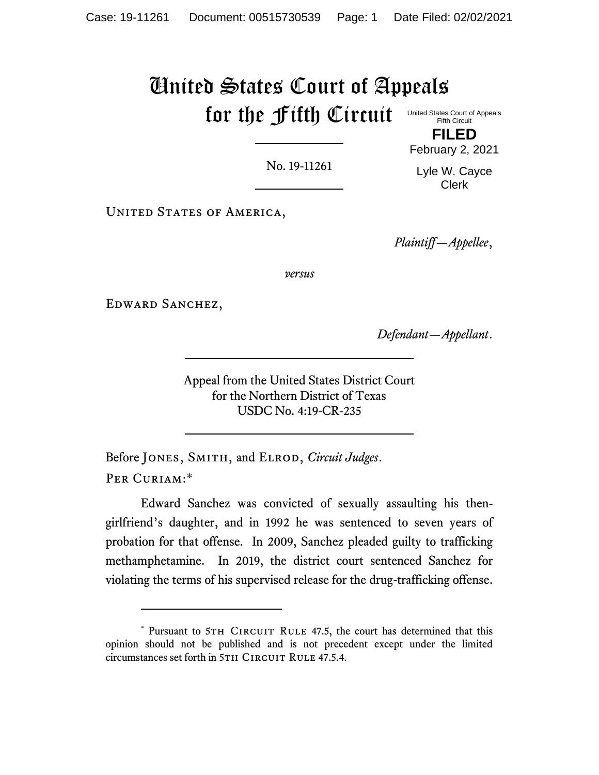# United States Court of Appeals for the Fifth Circuit United States Court of Appeals Fifth Circuit

No. 19-11261

**FILED**

February 2, 2021

Lyle W. Cayce Clerk

UNITED STATES OF AMERICA,

*Plaintiff—Appellee*,

*versus*

Edward Sanchez,

*Defendant—Appellant*.

Appeal from the United States District Court for the Northern District of Texas USDC No. 4:19-CR-235

Before Jones, Smith, and Elrod, *Circuit Judges*. PER CURIAM:\*

Edward Sanchez was convicted of sexually assaulting his thengirlfriend's daughter, and in 1992 he was sentenced to seven years of probation for that offense. In 2009, Sanchez pleaded guilty to trafficking methamphetamine. In 2019, the district court sentenced Sanchez for violating the terms of his supervised release for the drug-trafficking offense.

<sup>\*</sup> Pursuant to 5TH CIRCUIT RULE 47.5, the court has determined that this opinion should not be published and is not precedent except under the limited circumstances set forth in 5TH CIRCUIT RULE 47.5.4.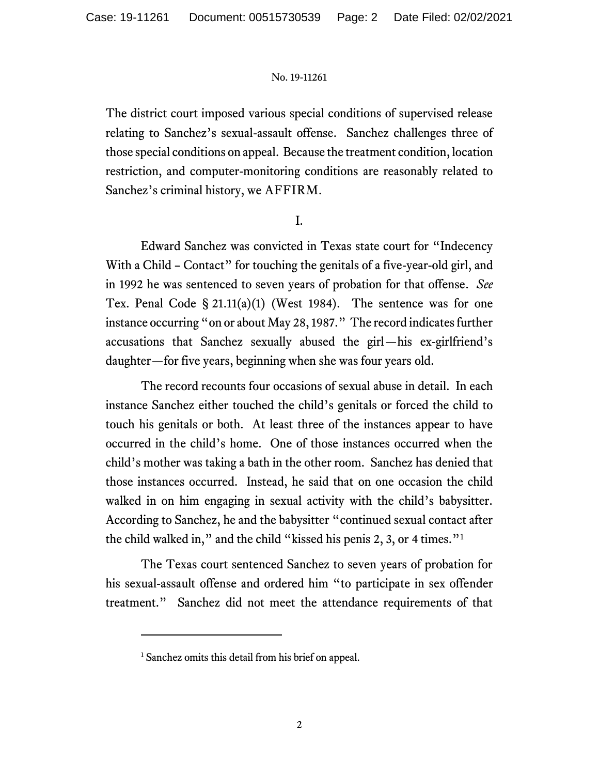The district court imposed various special conditions of supervised release relating to Sanchez's sexual-assault offense. Sanchez challenges three of those special conditions on appeal. Because the treatment condition, location restriction, and computer-monitoring conditions are reasonably related to Sanchez's criminal history, we AFFIRM.

I.

Edward Sanchez was convicted in Texas state court for "Indecency With a Child – Contact" for touching the genitals of a five-year-old girl, and in 1992 he was sentenced to seven years of probation for that offense. *See*  Tex. Penal Code  $\S 21.11(a)(1)$  (West 1984). The sentence was for one instance occurring "on or about May 28, 1987." The record indicates further accusations that Sanchez sexually abused the girl—his ex-girlfriend's daughter—for five years, beginning when she was four years old.

The record recounts four occasions of sexual abuse in detail. In each instance Sanchez either touched the child's genitals or forced the child to touch his genitals or both. At least three of the instances appear to have occurred in the child's home. One of those instances occurred when the child's mother was taking a bath in the other room. Sanchez has denied that those instances occurred. Instead, he said that on one occasion the child walked in on him engaging in sexual activity with the child's babysitter. According to Sanchez, he and the babysitter "continued sexual contact after the child walked in," and the child "kissed his penis 2, 3, or 4 times."<sup>1</sup>

The Texas court sentenced Sanchez to seven years of probation for his sexual-assault offense and ordered him "to participate in sex offender treatment." Sanchez did not meet the attendance requirements of that

<sup>&</sup>lt;sup>1</sup> Sanchez omits this detail from his brief on appeal.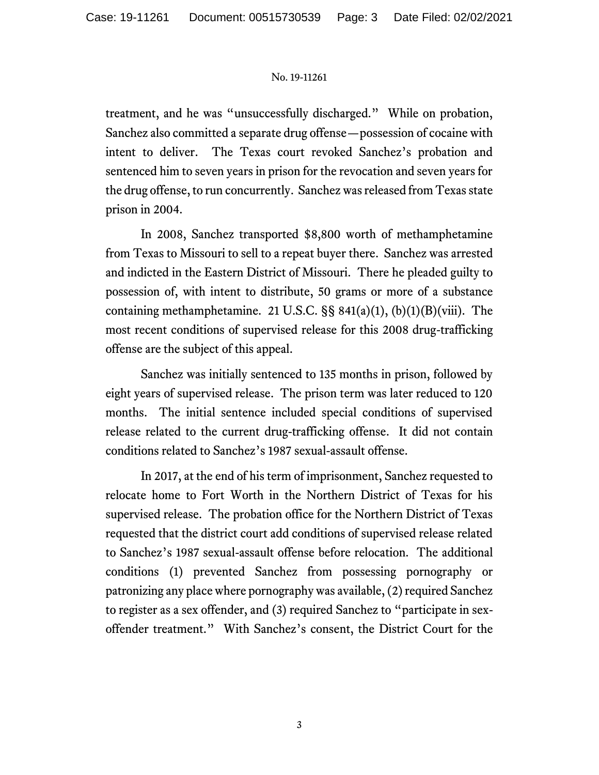treatment, and he was "unsuccessfully discharged." While on probation, Sanchez also committed a separate drug offense—possession of cocaine with intent to deliver. The Texas court revoked Sanchez's probation and sentenced him to seven years in prison for the revocation and seven years for the drug offense, to run concurrently. Sanchez was released from Texas state prison in 2004.

In 2008, Sanchez transported \$8,800 worth of methamphetamine from Texas to Missouri to sell to a repeat buyer there. Sanchez was arrested and indicted in the Eastern District of Missouri. There he pleaded guilty to possession of, with intent to distribute, 50 grams or more of a substance containing methamphetamine. 21 U.S.C. §§ 841(a)(1), (b)(1)(B)(viii). The most recent conditions of supervised release for this 2008 drug-trafficking offense are the subject of this appeal.

Sanchez was initially sentenced to 135 months in prison, followed by eight years of supervised release. The prison term was later reduced to 120 months. The initial sentence included special conditions of supervised release related to the current drug-trafficking offense. It did not contain conditions related to Sanchez's 1987 sexual-assault offense.

In 2017, at the end of his term of imprisonment, Sanchez requested to relocate home to Fort Worth in the Northern District of Texas for his supervised release. The probation office for the Northern District of Texas requested that the district court add conditions of supervised release related to Sanchez's 1987 sexual-assault offense before relocation. The additional conditions (1) prevented Sanchez from possessing pornography or patronizing any place where pornography was available, (2) required Sanchez to register as a sex offender, and (3) required Sanchez to "participate in sexoffender treatment." With Sanchez's consent, the District Court for the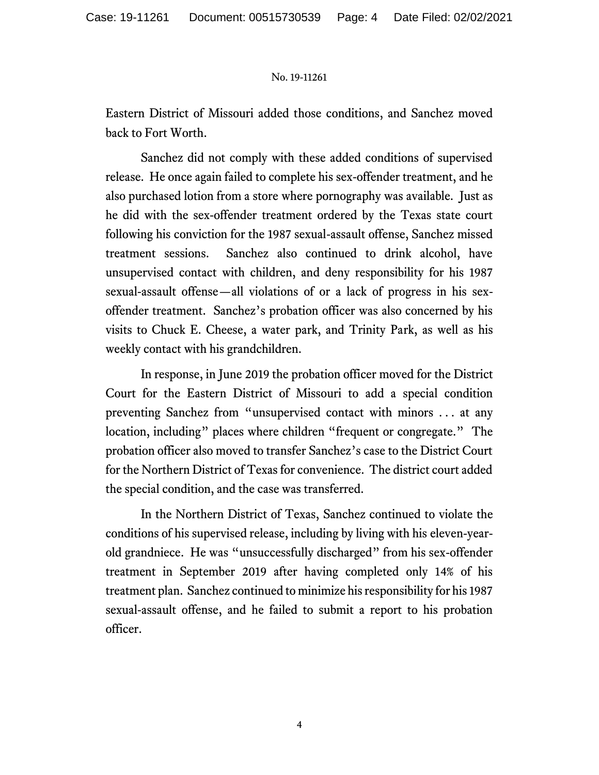Eastern District of Missouri added those conditions, and Sanchez moved back to Fort Worth.

Sanchez did not comply with these added conditions of supervised release. He once again failed to complete his sex-offender treatment, and he also purchased lotion from a store where pornography was available. Just as he did with the sex-offender treatment ordered by the Texas state court following his conviction for the 1987 sexual-assault offense, Sanchez missed treatment sessions. Sanchez also continued to drink alcohol, have unsupervised contact with children, and deny responsibility for his 1987 sexual-assault offense—all violations of or a lack of progress in his sexoffender treatment. Sanchez's probation officer was also concerned by his visits to Chuck E. Cheese, a water park, and Trinity Park, as well as his weekly contact with his grandchildren.

In response, in June 2019 the probation officer moved for the District Court for the Eastern District of Missouri to add a special condition preventing Sanchez from "unsupervised contact with minors . . . at any location, including" places where children "frequent or congregate." The probation officer also moved to transfer Sanchez's case to the District Court for the Northern District of Texas for convenience. The district court added the special condition, and the case was transferred.

In the Northern District of Texas, Sanchez continued to violate the conditions of his supervised release, including by living with his eleven-yearold grandniece. He was "unsuccessfully discharged" from his sex-offender treatment in September 2019 after having completed only 14% of his treatment plan. Sanchez continued to minimize his responsibility for his 1987 sexual-assault offense, and he failed to submit a report to his probation officer.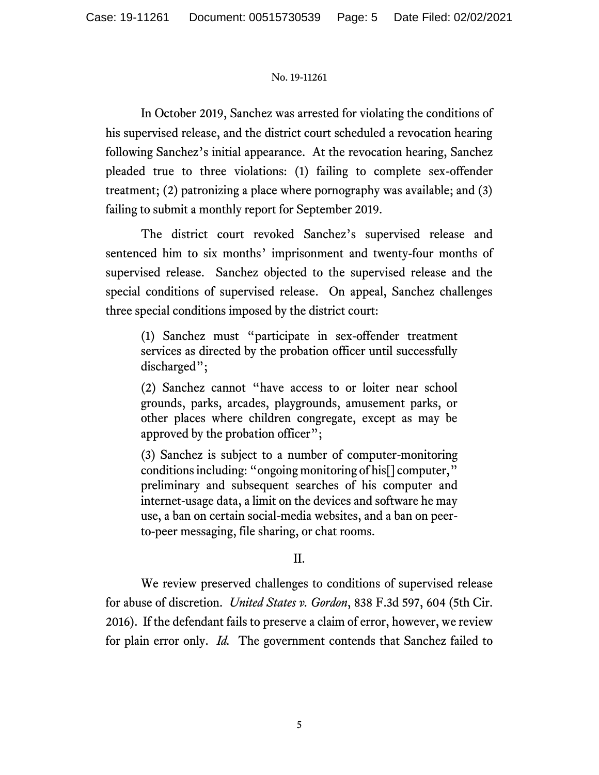In October 2019, Sanchez was arrested for violating the conditions of his supervised release, and the district court scheduled a revocation hearing following Sanchez's initial appearance. At the revocation hearing, Sanchez pleaded true to three violations: (1) failing to complete sex-offender treatment; (2) patronizing a place where pornography was available; and (3) failing to submit a monthly report for September 2019.

The district court revoked Sanchez's supervised release and sentenced him to six months' imprisonment and twenty-four months of supervised release. Sanchez objected to the supervised release and the special conditions of supervised release. On appeal, Sanchez challenges three special conditions imposed by the district court:

(1) Sanchez must "participate in sex-offender treatment services as directed by the probation officer until successfully discharged";

(2) Sanchez cannot "have access to or loiter near school grounds, parks, arcades, playgrounds, amusement parks, or other places where children congregate, except as may be approved by the probation officer";

(3) Sanchez is subject to a number of computer-monitoring conditions including: "ongoing monitoring of his[] computer," preliminary and subsequent searches of his computer and internet-usage data, a limit on the devices and software he may use, a ban on certain social-media websites, and a ban on peerto-peer messaging, file sharing, or chat rooms.

# II.

We review preserved challenges to conditions of supervised release for abuse of discretion. *United States v. Gordon*, 838 F.3d 597, 604 (5th Cir. 2016). If the defendant fails to preserve a claim of error, however, we review for plain error only. *Id.* The government contends that Sanchez failed to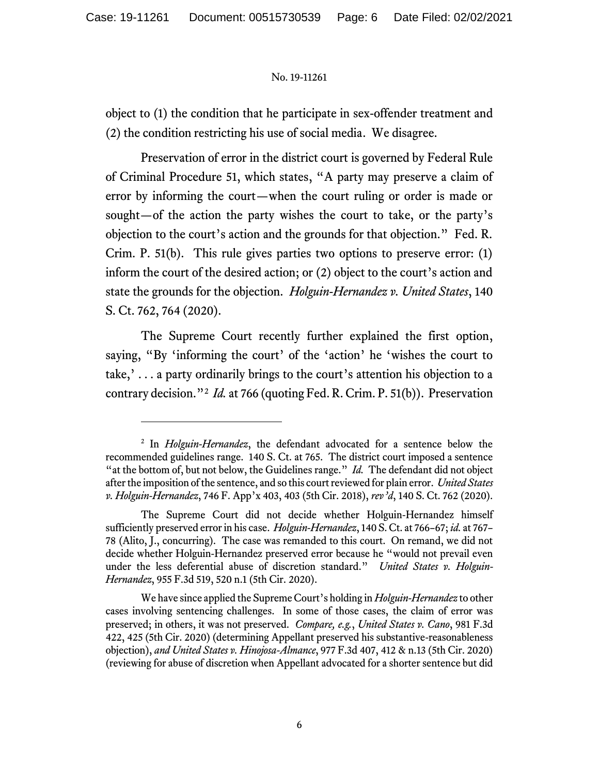object to (1) the condition that he participate in sex-offender treatment and (2) the condition restricting his use of social media. We disagree.

Preservation of error in the district court is governed by Federal Rule of Criminal Procedure 51, which states, "A party may preserve a claim of error by informing the court—when the court ruling or order is made or sought—of the action the party wishes the court to take, or the party's objection to the court's action and the grounds for that objection." Fed. R. Crim. P. 51(b). This rule gives parties two options to preserve error: (1) inform the court of the desired action; or (2) object to the court's action and state the grounds for the objection. *Holguin-Hernandez v. United States*, 140 S. Ct. 762, 764 (2020).

The Supreme Court recently further explained the first option, saying, "By 'informing the court' of the 'action' he 'wishes the court to take,' . . . a party ordinarily brings to the court's attention his objection to a contrary decision."<sup>2</sup> *Id.* at 766 (quoting Fed. R. Crim. P. 51(b)). Preservation

<sup>2</sup> In *Holguin-Hernandez*, the defendant advocated for a sentence below the recommended guidelines range. 140 S. Ct. at 765. The district court imposed a sentence "at the bottom of, but not below, the Guidelines range." *Id.* The defendant did not object after the imposition of the sentence, and so this court reviewed for plain error. *United States v. Holguin-Hernandez*, 746 F. App'x 403, 403 (5th Cir. 2018), *rev'd*, 140 S. Ct. 762 (2020).

The Supreme Court did not decide whether Holguin-Hernandez himself sufficiently preserved error in his case. *Holguin-Hernandez*, 140 S. Ct. at 766–67; *id.* at 767– 78 (Alito, J., concurring). The case was remanded to this court. On remand, we did not decide whether Holguin-Hernandez preserved error because he "would not prevail even under the less deferential abuse of discretion standard." *United States v. Holguin-Hernandez*, 955 F.3d 519, 520 n.1 (5th Cir. 2020).

We have since applied the Supreme Court's holding in *Holguin-Hernandez* to other cases involving sentencing challenges. In some of those cases, the claim of error was preserved; in others, it was not preserved. *Compare, e.g.*, *United States v. Cano*, 981 F.3d 422, 425 (5th Cir. 2020) (determining Appellant preserved his substantive-reasonableness objection), *and United States v. Hinojosa-Almance*, 977 F.3d 407, 412 & n.13 (5th Cir. 2020) (reviewing for abuse of discretion when Appellant advocated for a shorter sentence but did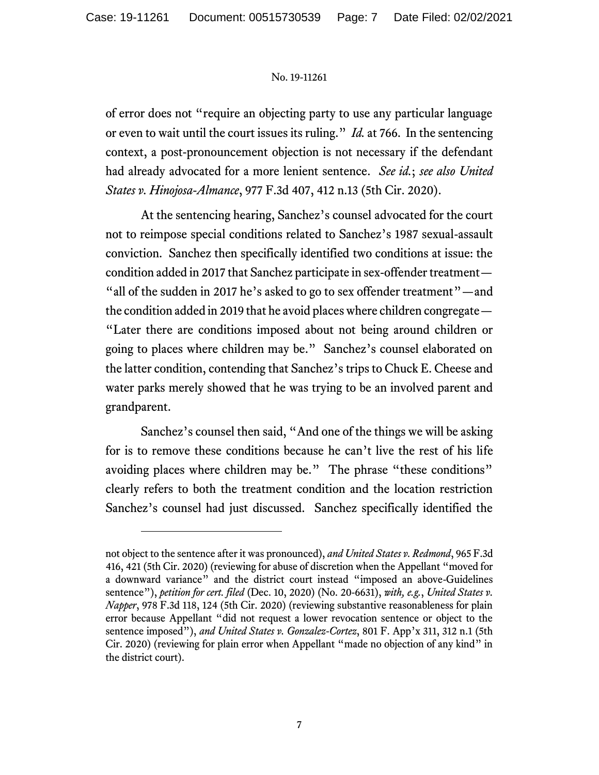of error does not "require an objecting party to use any particular language or even to wait until the court issues its ruling." *Id.* at 766. In the sentencing context, a post-pronouncement objection is not necessary if the defendant had already advocated for a more lenient sentence. *See id.*; *see also United States v. Hinojosa-Almance*, 977 F.3d 407, 412 n.13 (5th Cir. 2020).

At the sentencing hearing, Sanchez's counsel advocated for the court not to reimpose special conditions related to Sanchez's 1987 sexual-assault conviction. Sanchez then specifically identified two conditions at issue: the condition added in 2017 that Sanchez participate in sex-offender treatment— "all of the sudden in 2017 he's asked to go to sex offender treatment"—and the condition added in 2019 that he avoid places where children congregate— "Later there are conditions imposed about not being around children or going to places where children may be." Sanchez's counsel elaborated on the latter condition, contending that Sanchez's trips to Chuck E. Cheese and water parks merely showed that he was trying to be an involved parent and grandparent.

Sanchez's counsel then said, "And one of the things we will be asking for is to remove these conditions because he can't live the rest of his life avoiding places where children may be." The phrase "these conditions" clearly refers to both the treatment condition and the location restriction Sanchez's counsel had just discussed. Sanchez specifically identified the

not object to the sentence after it was pronounced), *and United States v. Redmond*, 965 F.3d 416, 421 (5th Cir. 2020) (reviewing for abuse of discretion when the Appellant "moved for a downward variance" and the district court instead "imposed an above-Guidelines sentence"), *petition for cert. filed* (Dec. 10, 2020) (No. 20-6631), *with, e.g.*, *United States v. Napper*, 978 F.3d 118, 124 (5th Cir. 2020) (reviewing substantive reasonableness for plain error because Appellant "did not request a lower revocation sentence or object to the sentence imposed"), and United States v. Gonzalez-Cortez, 801 F. App'x 311, 312 n.1 (5th Cir. 2020) (reviewing for plain error when Appellant "made no objection of any kind" in the district court).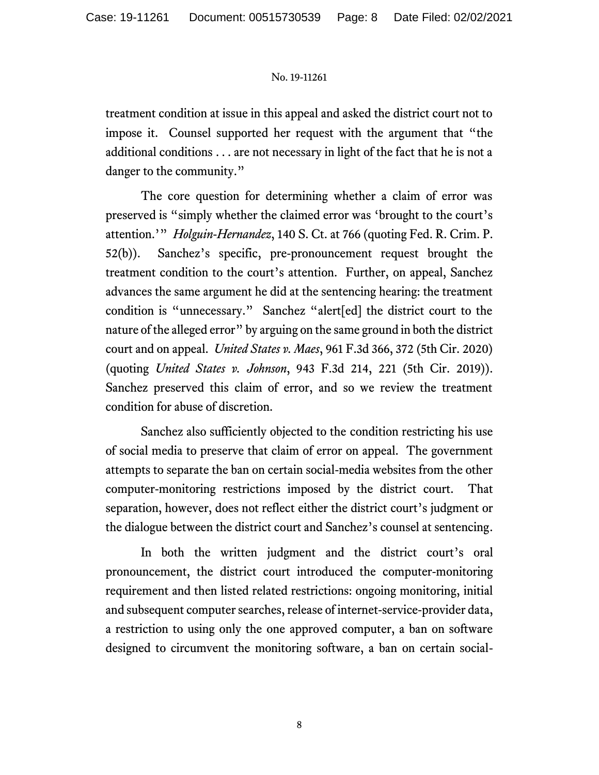treatment condition at issue in this appeal and asked the district court not to impose it. Counsel supported her request with the argument that "the additional conditions . . . are not necessary in light of the fact that he is not a danger to the community."

The core question for determining whether a claim of error was preserved is "simply whether the claimed error was 'brought to the court's attention.'" *Holguin-Hernandez*, 140 S. Ct. at 766 (quoting Fed. R. Crim. P. 52(b)).Sanchez's specific, pre-pronouncement request brought the treatment condition to the court's attention. Further, on appeal, Sanchez advances the same argument he did at the sentencing hearing: the treatment condition is "unnecessary." Sanchez "alert[ed] the district court to the nature of the alleged error" by arguing on the same ground in both the district court and on appeal. *United States v. Maes*, 961 F.3d 366, 372 (5th Cir. 2020) (quoting *United States v. Johnson*, 943 F.3d 214, 221 (5th Cir. 2019)). Sanchez preserved this claim of error, and so we review the treatment condition for abuse of discretion.

Sanchez also sufficiently objected to the condition restricting his use of social media to preserve that claim of error on appeal. The government attempts to separate the ban on certain social-media websites from the other computer-monitoring restrictions imposed by the district court. That separation, however, does not reflect either the district court's judgment or the dialogue between the district court and Sanchez's counsel at sentencing.

In both the written judgment and the district court's oral pronouncement, the district court introduced the computer-monitoring requirement and then listed related restrictions: ongoing monitoring, initial and subsequent computer searches, release of internet-service-provider data, a restriction to using only the one approved computer, a ban on software designed to circumvent the monitoring software, a ban on certain social-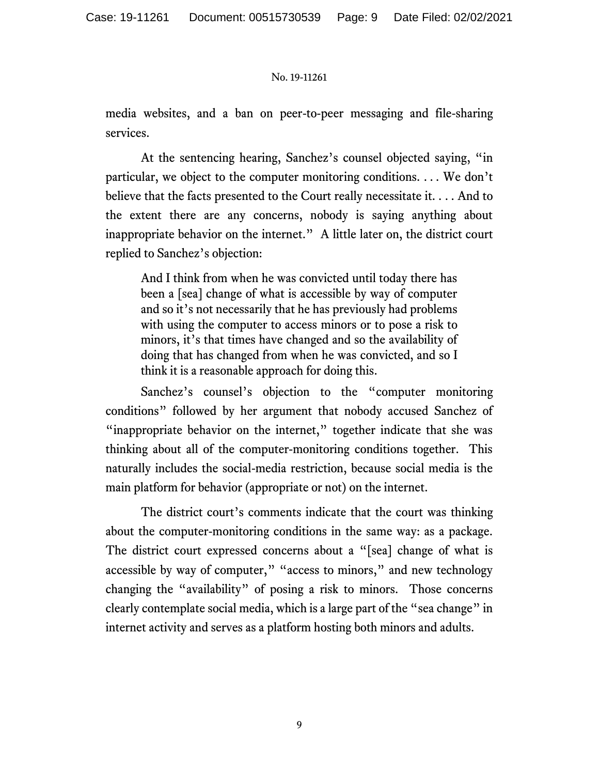media websites, and a ban on peer-to-peer messaging and file-sharing services.

At the sentencing hearing, Sanchez's counsel objected saying, "in particular, we object to the computer monitoring conditions. . . . We don't believe that the facts presented to the Court really necessitate it. . . . And to the extent there are any concerns, nobody is saying anything about inappropriate behavior on the internet." A little later on, the district court replied to Sanchez's objection:

And I think from when he was convicted until today there has been a [sea] change of what is accessible by way of computer and so it's not necessarily that he has previously had problems with using the computer to access minors or to pose a risk to minors, it's that times have changed and so the availability of doing that has changed from when he was convicted, and so I think it is a reasonable approach for doing this.

Sanchez's counsel's objection to the "computer monitoring conditions" followed by her argument that nobody accused Sanchez of "inappropriate behavior on the internet," together indicate that she was thinking about all of the computer-monitoring conditions together. This naturally includes the social-media restriction, because social media is the main platform for behavior (appropriate or not) on the internet.

The district court's comments indicate that the court was thinking about the computer-monitoring conditions in the same way: as a package. The district court expressed concerns about a "[sea] change of what is accessible by way of computer," "access to minors," and new technology changing the "availability" of posing a risk to minors. Those concerns clearly contemplate social media, which is a large part of the "sea change" in internet activity and serves as a platform hosting both minors and adults.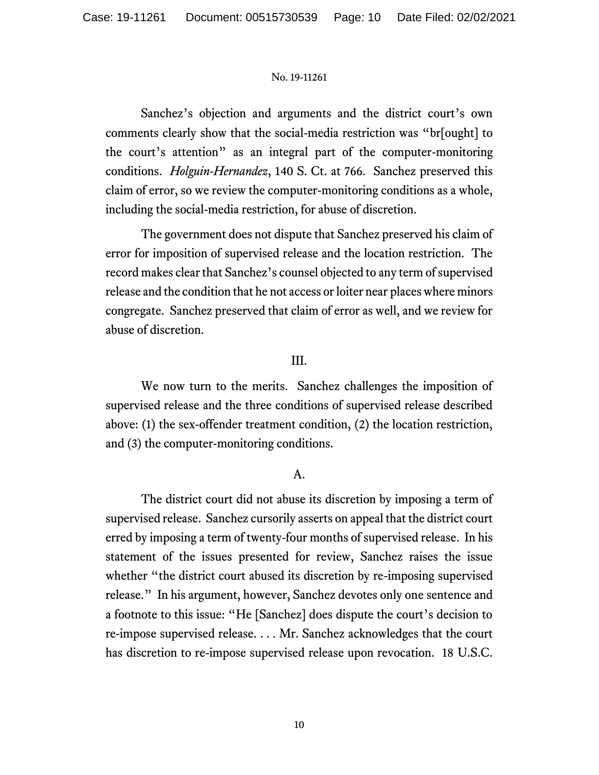Sanchez's objection and arguments and the district court's own comments clearly show that the social-media restriction was "br[ought] to the court's attention" as an integral part of the computer-monitoring conditions. *Holguin-Hernandez*, 140 S. Ct. at 766. Sanchez preserved this claim of error, so we review the computer-monitoring conditions as a whole, including the social-media restriction, for abuse of discretion.

The government does not dispute that Sanchez preserved his claim of error for imposition of supervised release and the location restriction. The record makes clear that Sanchez's counsel objected to any term of supervised release and the condition that he not access or loiter near places where minors congregate. Sanchez preserved that claim of error as well, and we review for abuse of discretion.

# III.

We now turn to the merits. Sanchez challenges the imposition of supervised release and the three conditions of supervised release described above: (1) the sex-offender treatment condition, (2) the location restriction, and (3) the computer-monitoring conditions.

# A.

The district court did not abuse its discretion by imposing a term of supervised release. Sanchez cursorily asserts on appeal that the district court erred by imposing a term of twenty-four months of supervised release. In his statement of the issues presented for review, Sanchez raises the issue whether "the district court abused its discretion by re-imposing supervised release." In his argument, however, Sanchez devotes only one sentence and a footnote to this issue: "He [Sanchez] does dispute the court's decision to re-impose supervised release. . . . Mr. Sanchez acknowledges that the court has discretion to re-impose supervised release upon revocation. 18 U.S.C.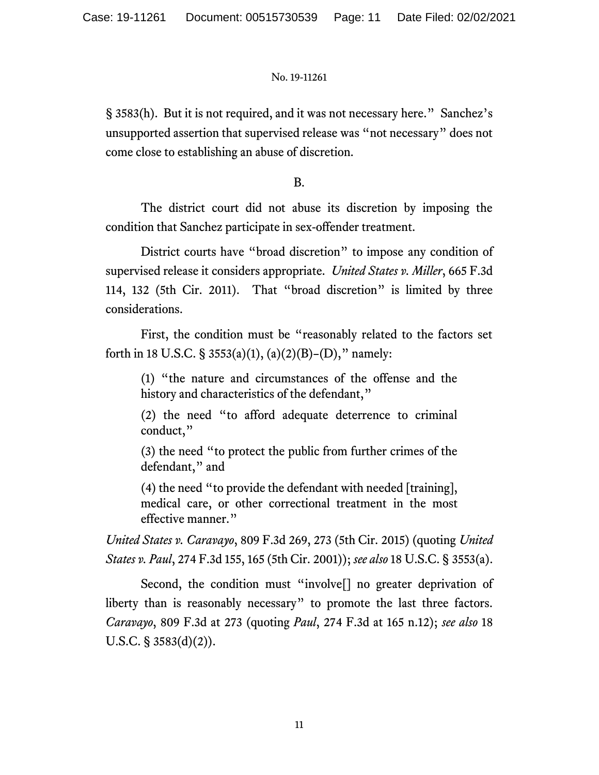§ 3583(h). But it is not required, and it was not necessary here." Sanchez's unsupported assertion that supervised release was "not necessary" does not come close to establishing an abuse of discretion.

B.

The district court did not abuse its discretion by imposing the condition that Sanchez participate in sex-offender treatment.

District courts have "broad discretion" to impose any condition of supervised release it considers appropriate. *United States v. Miller*, 665 F.3d 114, 132 (5th Cir. 2011). That "broad discretion" is limited by three considerations.

First, the condition must be "reasonably related to the factors set forth in 18 U.S.C. § 3553(a)(1), (a)(2)(B)–(D)," namely:

(1) "the nature and circumstances of the offense and the history and characteristics of the defendant,"

(2) the need "to afford adequate deterrence to criminal conduct,"

(3) the need "to protect the public from further crimes of the defendant," and

(4) the need "to provide the defendant with needed [training], medical care, or other correctional treatment in the most effective manner."

*United States v. Caravayo*, 809 F.3d 269, 273 (5th Cir. 2015) (quoting *United States v. Paul*, 274 F.3d 155, 165 (5th Cir. 2001)); *see also* 18 U.S.C. § 3553(a).

Second, the condition must "involve[] no greater deprivation of liberty than is reasonably necessary" to promote the last three factors. *Caravayo*, 809 F.3d at 273 (quoting *Paul*, 274 F.3d at 165 n.12); *see also* 18 U.S.C.  $\S$  3583(d)(2)).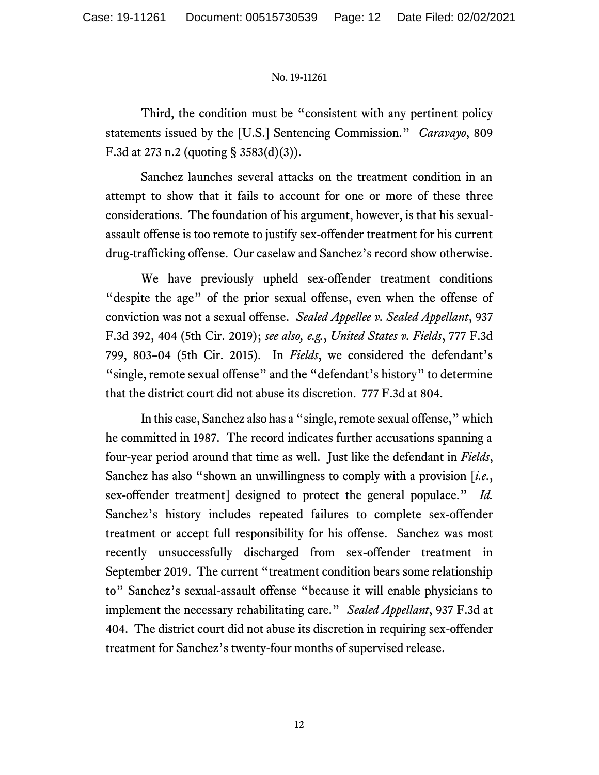Third, the condition must be "consistent with any pertinent policy statements issued by the [U.S.] Sentencing Commission." *Caravayo*, 809 F.3d at 273 n.2 (quoting § 3583(d)(3)).

Sanchez launches several attacks on the treatment condition in an attempt to show that it fails to account for one or more of these three considerations. The foundation of his argument, however, is that his sexualassault offense is too remote to justify sex-offender treatment for his current drug-trafficking offense. Our caselaw and Sanchez's record show otherwise.

We have previously upheld sex-offender treatment conditions "despite the age" of the prior sexual offense, even when the offense of conviction was not a sexual offense. *Sealed Appellee v. Sealed Appellant*, 937 F.3d 392, 404 (5th Cir. 2019); *see also, e.g.*, *United States v. Fields*, 777 F.3d 799, 803–04 (5th Cir. 2015). In *Fields*, we considered the defendant's "single, remote sexual offense" and the "defendant's history" to determine that the district court did not abuse its discretion. 777 F.3d at 804.

In this case, Sanchez also has a "single, remote sexual offense," which he committed in 1987. The record indicates further accusations spanning a four-year period around that time as well. Just like the defendant in *Fields*, Sanchez has also "shown an unwillingness to comply with a provision [*i.e.*, sex-offender treatment] designed to protect the general populace." *Id.* Sanchez's history includes repeated failures to complete sex-offender treatment or accept full responsibility for his offense. Sanchez was most recently unsuccessfully discharged from sex-offender treatment in September 2019. The current "treatment condition bears some relationship to" Sanchez's sexual-assault offense "because it will enable physicians to implement the necessary rehabilitating care." *Sealed Appellant*, 937 F.3d at 404. The district court did not abuse its discretion in requiring sex-offender treatment for Sanchez's twenty-four months of supervised release.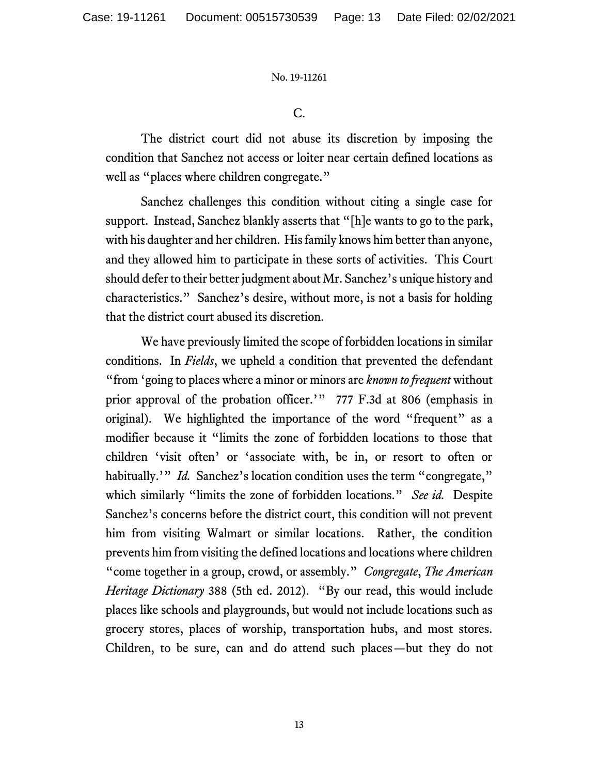C.

The district court did not abuse its discretion by imposing the condition that Sanchez not access or loiter near certain defined locations as well as "places where children congregate."

Sanchez challenges this condition without citing a single case for support. Instead, Sanchez blankly asserts that "[h]e wants to go to the park, with his daughter and her children. His family knows him better than anyone, and they allowed him to participate in these sorts of activities. This Court should defer to their better judgment about Mr. Sanchez's unique history and characteristics." Sanchez's desire, without more, is not a basis for holding that the district court abused its discretion.

We have previously limited the scope of forbidden locations in similar conditions. In *Fields*, we upheld a condition that prevented the defendant "from 'going to places where a minor or minors are *known to frequent* without prior approval of the probation officer.'" 777 F.3d at 806 (emphasis in original). We highlighted the importance of the word "frequent" as a modifier because it "limits the zone of forbidden locations to those that children 'visit often' or 'associate with, be in, or resort to often or habitually.'" *Id.* Sanchez's location condition uses the term "congregate," which similarly "limits the zone of forbidden locations." *See id.* Despite Sanchez's concerns before the district court, this condition will not prevent him from visiting Walmart or similar locations. Rather, the condition prevents him from visiting the defined locations and locations where children "come together in a group, crowd, or assembly." *Congregate*, *The American Heritage Dictionary* 388 (5th ed. 2012). "By our read, this would include places like schools and playgrounds, but would not include locations such as grocery stores, places of worship, transportation hubs, and most stores. Children, to be sure, can and do attend such places—but they do not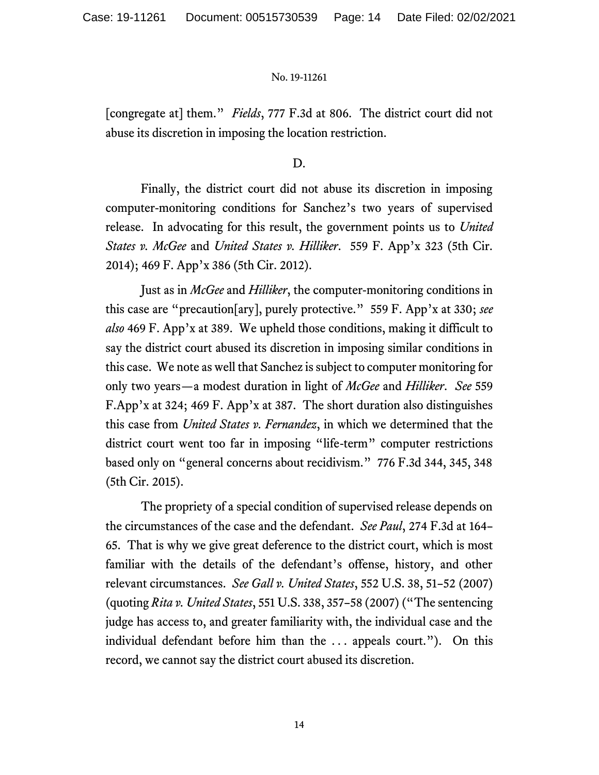[congregate at] them." *Fields*, 777 F.3d at 806. The district court did not abuse its discretion in imposing the location restriction.

D.

Finally, the district court did not abuse its discretion in imposing computer-monitoring conditions for Sanchez's two years of supervised release. In advocating for this result, the government points us to *United States v. McGee* and *United States v. Hilliker*. 559 F. App'x 323 (5th Cir. 2014); 469 F. App'x 386 (5th Cir. 2012).

Just as in *McGee* and *Hilliker*, the computer-monitoring conditions in this case are "precaution[ary], purely protective." 559 F. App'x at 330; *see also* 469 F. App'x at 389. We upheld those conditions, making it difficult to say the district court abused its discretion in imposing similar conditions in this case. We note as well that Sanchez is subject to computer monitoring for only two years—a modest duration in light of *McGee* and *Hilliker*. *See* 559 F.App'x at 324; 469 F. App'x at 387. The short duration also distinguishes this case from *United States v. Fernandez*, in which we determined that the district court went too far in imposing "life-term" computer restrictions based only on "general concerns about recidivism." 776 F.3d 344, 345, 348 (5th Cir. 2015).

The propriety of a special condition of supervised release depends on the circumstances of the case and the defendant. *See Paul*, 274 F.3d at 164– 65. That is why we give great deference to the district court, which is most familiar with the details of the defendant's offense, history, and other relevant circumstances. *See Gall v. United States*, 552 U.S. 38, 51–52 (2007) (quoting *Rita v. United States*, 551 U.S. 338, 357–58 (2007) ("The sentencing judge has access to, and greater familiarity with, the individual case and the individual defendant before him than the . . . appeals court."). On this record, we cannot say the district court abused its discretion.